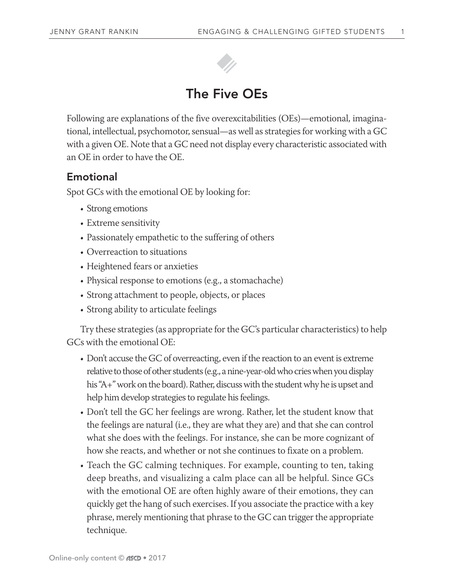

## The Five OEs

Following are explanations of the five overexcitabilities (OEs)—emotional, imaginational, intellectual, psychomotor, sensual—as well as strategies for working with a GC with a given OE. Note that a GC need not display every characteristic associated with an OE in order to have the OE.

### Emotional

Spot GCs with the emotional OE by looking for:

- Strong emotions
- Extreme sensitivity
- Passionately empathetic to the suffering of others
- Overreaction to situations
- Heightened fears or anxieties
- Physical response to emotions (e.g., a stomachache)
- Strong attachment to people, objects, or places
- Strong ability to articulate feelings

Try these strategies (as appropriate for the GC's particular characteristics) to help GCs with the emotional OE:

- Don't accuse the GC of overreacting, even if the reaction to an event is extreme relative to those of other students (e.g., a nine-year-old who cries when you display his "A+" work on the board). Rather, discuss with the student why he is upset and help him develop strategies to regulate his feelings.
- Don't tell the GC her feelings are wrong. Rather, let the student know that the feelings are natural (i.e., they are what they are) and that she can control what she does with the feelings. For instance, she can be more cognizant of how she reacts, and whether or not she continues to fixate on a problem.
- Teach the GC calming techniques. For example, counting to ten, taking deep breaths, and visualizing a calm place can all be helpful. Since GCs with the emotional OE are often highly aware of their emotions, they can quickly get the hang of such exercises. If you associate the practice with a key phrase, merely mentioning that phrase to the GC can trigger the appropriate technique.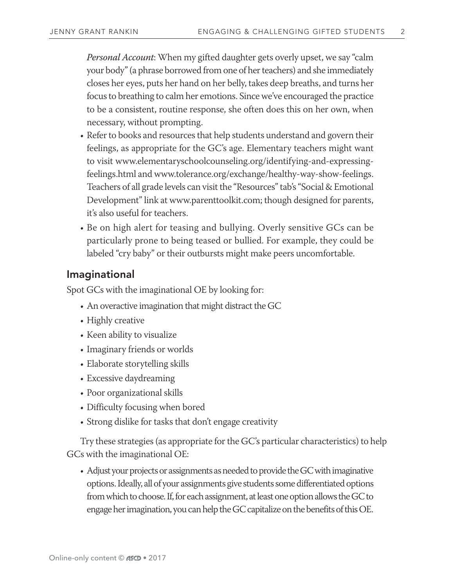*Personal Account*: When my gifted daughter gets overly upset, we say "calm your body" (a phrase borrowed from one of her teachers) and she immediately closes her eyes, puts her hand on her belly, takes deep breaths, and turns her focus to breathing to calm her emotions. Since we've encouraged the practice to be a consistent, routine response, she often does this on her own, when necessary, without prompting.

- Refer to books and resources that help students understand and govern their feelings, as appropriate for the GC's age. Elementary teachers might want to visit www.elementaryschoolcounseling.org/identifying-and-expressingfeelings.html and www.tolerance.org/exchange/healthy-way-show-feelings. Teachers of all grade levels can visit the "Resources" tab's "Social & Emotional Development" link at www.parenttoolkit.com; though designed for parents, it's also useful for teachers.
- Be on high alert for teasing and bullying. Overly sensitive GCs can be particularly prone to being teased or bullied. For example, they could be labeled "cry baby" or their outbursts might make peers uncomfortable.

#### Imaginational

Spot GCs with the imaginational OE by looking for:

- An overactive imagination that might distract the GC
- Highly creative
- Keen ability to visualize
- Imaginary friends or worlds
- Elaborate storytelling skills
- Excessive daydreaming
- Poor organizational skills
- Difficulty focusing when bored
- Strong dislike for tasks that don't engage creativity

Try these strategies (as appropriate for the GC's particular characteristics) to help GCs with the imaginational OE:

• Adjust your projects or assignments as needed to provide the GC with imaginative options. Ideally, all of your assignments give students some differentiated options from which to choose. If, for each assignment, at least one option allows the GC to engage her imagination, you can help the GC capitalize on the benefits of this OE.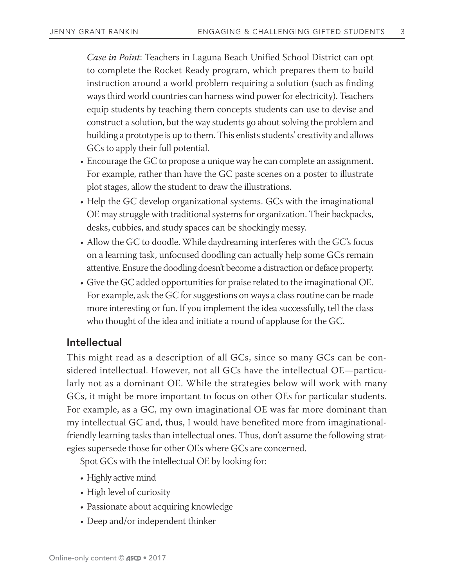*Case in Point*: Teachers in Laguna Beach Unified School District can opt to complete the Rocket Ready program, which prepares them to build instruction around a world problem requiring a solution (such as finding ways third world countries can harness wind power for electricity). Teachers equip students by teaching them concepts students can use to devise and construct a solution, but the way students go about solving the problem and building a prototype is up to them. This enlists students' creativity and allows GCs to apply their full potential.

- Encourage the GC to propose a unique way he can complete an assignment. For example, rather than have the GC paste scenes on a poster to illustrate plot stages, allow the student to draw the illustrations.
- Help the GC develop organizational systems. GCs with the imaginational OE may struggle with traditional systems for organization. Their backpacks, desks, cubbies, and study spaces can be shockingly messy.
- Allow the GC to doodle. While daydreaming interferes with the GC's focus on a learning task, unfocused doodling can actually help some GCs remain attentive. Ensure the doodling doesn't become a distraction or deface property.
- Give the GC added opportunities for praise related to the imaginational OE. For example, ask the GC for suggestions on ways a class routine can be made more interesting or fun. If you implement the idea successfully, tell the class who thought of the idea and initiate a round of applause for the GC.

#### Intellectual

This might read as a description of all GCs, since so many GCs can be considered intellectual. However, not all GCs have the intellectual OE—particularly not as a dominant OE. While the strategies below will work with many GCs, it might be more important to focus on other OEs for particular students. For example, as a GC, my own imaginational OE was far more dominant than my intellectual GC and, thus, I would have benefited more from imaginationalfriendly learning tasks than intellectual ones. Thus, don't assume the following strategies supersede those for other OEs where GCs are concerned.

Spot GCs with the intellectual OE by looking for:

- Highly active mind
- High level of curiosity
- Passionate about acquiring knowledge
- Deep and/or independent thinker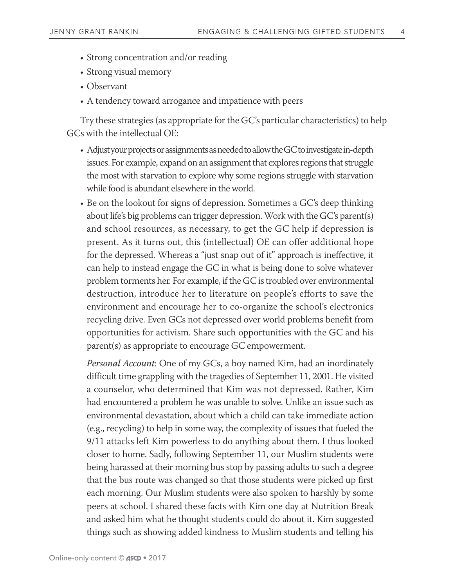- Strong concentration and/or reading
- Strong visual memory
- Observant
- A tendency toward arrogance and impatience with peers

Try these strategies (as appropriate for the GC's particular characteristics) to help GCs with the intellectual OE:

- Adjust your projects or assignments as needed to allow the GC to investigate in-depth issues. For example, expand on an assignment that explores regions that struggle the most with starvation to explore why some regions struggle with starvation while food is abundant elsewhere in the world.
- Be on the lookout for signs of depression. Sometimes a GC's deep thinking about life's big problems can trigger depression. Work with the GC's parent(s) and school resources, as necessary, to get the GC help if depression is present. As it turns out, this (intellectual) OE can offer additional hope for the depressed. Whereas a "just snap out of it" approach is ineffective, it can help to instead engage the GC in what is being done to solve whatever problem torments her. For example, if the GC is troubled over environmental destruction, introduce her to literature on people's efforts to save the environment and encourage her to co-organize the school's electronics recycling drive. Even GCs not depressed over world problems benefit from opportunities for activism. Share such opportunities with the GC and his parent(s) as appropriate to encourage GC empowerment.

*Personal Account*: One of my GCs, a boy named Kim, had an inordinately difficult time grappling with the tragedies of September 11, 2001. He visited a counselor, who determined that Kim was not depressed. Rather, Kim had encountered a problem he was unable to solve. Unlike an issue such as environmental devastation, about which a child can take immediate action (e.g., recycling) to help in some way, the complexity of issues that fueled the 9/11 attacks left Kim powerless to do anything about them. I thus looked closer to home. Sadly, following September 11, our Muslim students were being harassed at their morning bus stop by passing adults to such a degree that the bus route was changed so that those students were picked up first each morning. Our Muslim students were also spoken to harshly by some peers at school. I shared these facts with Kim one day at Nutrition Break and asked him what he thought students could do about it. Kim suggested things such as showing added kindness to Muslim students and telling his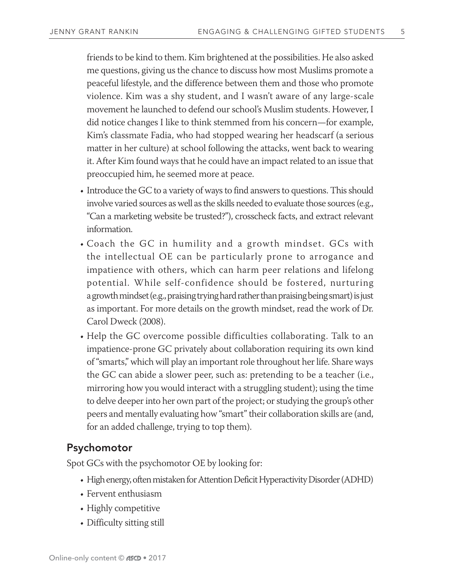friends to be kind to them. Kim brightened at the possibilities. He also asked me questions, giving us the chance to discuss how most Muslims promote a peaceful lifestyle, and the difference between them and those who promote violence. Kim was a shy student, and I wasn't aware of any large-scale movement he launched to defend our school's Muslim students. However, I did notice changes I like to think stemmed from his concern—for example, Kim's classmate Fadia, who had stopped wearing her headscarf (a serious matter in her culture) at school following the attacks, went back to wearing it. After Kim found ways that he could have an impact related to an issue that preoccupied him, he seemed more at peace.

- Introduce the GC to a variety of ways to find answers to questions. This should involve varied sources as well as the skills needed to evaluate those sources (e.g., "Can a marketing website be trusted?"), crosscheck facts, and extract relevant information.
- Coach the GC in humility and a growth mindset. GCs with the intellectual OE can be particularly prone to arrogance and impatience with others, which can harm peer relations and lifelong potential. While self-confidence should be fostered, nurturing a growth mindset (e.g., praising trying hard rather than praising being smart) is just as important. For more details on the growth mindset, read the work of Dr. Carol Dweck (2008).
- Help the GC overcome possible difficulties collaborating. Talk to an impatience-prone GC privately about collaboration requiring its own kind of "smarts," which will play an important role throughout her life. Share ways the GC can abide a slower peer, such as: pretending to be a teacher (i.e., mirroring how you would interact with a struggling student); using the time to delve deeper into her own part of the project; or studying the group's other peers and mentally evaluating how "smart" their collaboration skills are (and, for an added challenge, trying to top them).

#### Psychomotor

Spot GCs with the psychomotor OE by looking for:

- High energy, often mistaken for Attention Deficit Hyperactivity Disorder (ADHD)
- Fervent enthusiasm
- Highly competitive
- Difficulty sitting still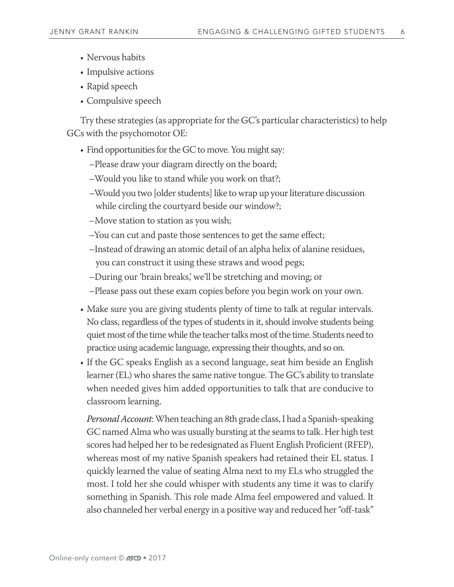- Nervous habits
- Impulsive actions
- Rapid speech
- Compulsive speech

Try these strategies (as appropriate for the GC's particular characteristics) to help GCs with the psychomotor OE:

- Find opportunities for the GC to move. You might say:
	- –Please draw your diagram directly on the board;
	- –Would you like to stand while you work on that?;
	- –Would you two [older students] like to wrap up your literature discussion while circling the courtyard beside our window?;
	- –Move station to station as you wish;
	- –You can cut and paste those sentences to get the same effect;
	- –Instead of drawing an atomic detail of an alpha helix of alanine residues, you can construct it using these straws and wood pegs;
	- –During our 'brain breaks,' we'll be stretching and moving; or
	- –Please pass out these exam copies before you begin work on your own.
- Make sure you are giving students plenty of time to talk at regular intervals. No class, regardless of the types of students in it, should involve students being quiet most of the time while the teacher talks most of the time. Students need to practice using academic language, expressing their thoughts, and so on.
- If the GC speaks English as a second language, seat him beside an English learner (EL) who shares the same native tongue. The GC's ability to translate when needed gives him added opportunities to talk that are conducive to classroom learning.

*Personal Account*: When teaching an 8th grade class, I had a Spanish-speaking GC named Alma who was usually bursting at the seams to talk. Her high test scores had helped her to be redesignated as Fluent English Proficient (RFEP), whereas most of my native Spanish speakers had retained their EL status. I quickly learned the value of seating Alma next to my ELs who struggled the most. I told her she could whisper with students any time it was to clarify something in Spanish. This role made Alma feel empowered and valued. It also channeled her verbal energy in a positive way and reduced her "off-task"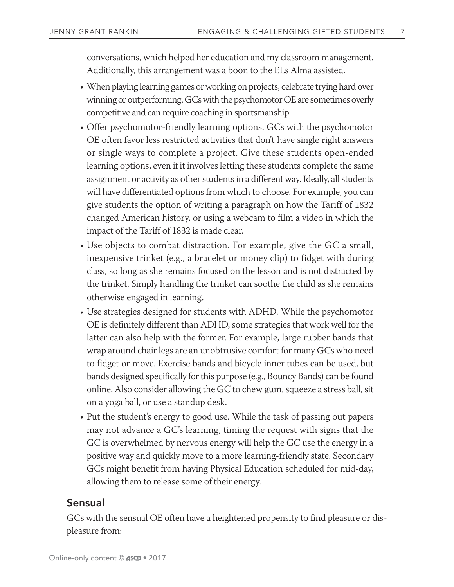conversations, which helped her education and my classroom management. Additionally, this arrangement was a boon to the ELs Alma assisted.

- When playing learning games or working on projects, celebrate trying hard over winning or outperforming. GCs with the psychomotor OE are sometimes overly competitive and can require coaching in sportsmanship.
- Offer psychomotor-friendly learning options. GCs with the psychomotor OE often favor less restricted activities that don't have single right answers or single ways to complete a project. Give these students open-ended learning options, even if it involves letting these students complete the same assignment or activity as other students in a different way. Ideally, all students will have differentiated options from which to choose. For example, you can give students the option of writing a paragraph on how the Tariff of 1832 changed American history, or using a webcam to film a video in which the impact of the Tariff of 1832 is made clear.
- Use objects to combat distraction. For example, give the GC a small, inexpensive trinket (e.g., a bracelet or money clip) to fidget with during class, so long as she remains focused on the lesson and is not distracted by the trinket. Simply handling the trinket can soothe the child as she remains otherwise engaged in learning.
- Use strategies designed for students with ADHD. While the psychomotor OE is definitely different than ADHD, some strategies that work well for the latter can also help with the former. For example, large rubber bands that wrap around chair legs are an unobtrusive comfort for many GCs who need to fidget or move. Exercise bands and bicycle inner tubes can be used, but bands designed specifically for this purpose (e.g., Bouncy Bands) can be found online. Also consider allowing the GC to chew gum, squeeze a stress ball, sit on a yoga ball, or use a standup desk.
- Put the student's energy to good use. While the task of passing out papers may not advance a GC's learning, timing the request with signs that the GC is overwhelmed by nervous energy will help the GC use the energy in a positive way and quickly move to a more learning-friendly state. Secondary GCs might benefit from having Physical Education scheduled for mid-day, allowing them to release some of their energy.

#### Sensual

GCs with the sensual OE often have a heightened propensity to find pleasure or displeasure from: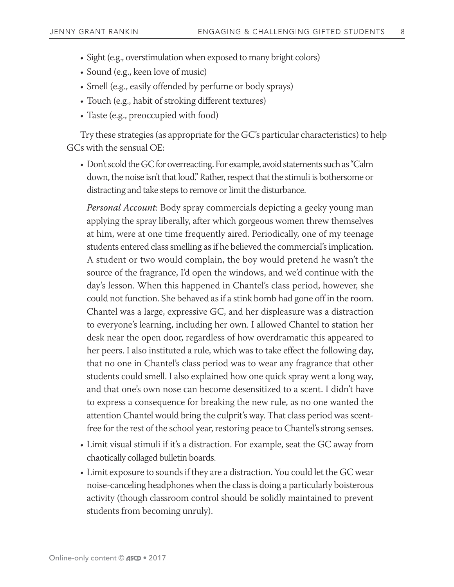- Sight (e.g., overstimulation when exposed to many bright colors)
- Sound (e.g., keen love of music)
- Smell (e.g., easily offended by perfume or body sprays)
- Touch (e.g., habit of stroking different textures)
- Taste (e.g., preoccupied with food)

Try these strategies (as appropriate for the GC's particular characteristics) to help GCs with the sensual OE:

• Don't scold the GC for overreacting. For example, avoid statements such as "Calm down, the noise isn't that loud." Rather, respect that the stimuli is bothersome or distracting and take steps to remove or limit the disturbance.

*Personal Account*: Body spray commercials depicting a geeky young man applying the spray liberally, after which gorgeous women threw themselves at him, were at one time frequently aired. Periodically, one of my teenage students entered class smelling as if he believed the commercial's implication. A student or two would complain, the boy would pretend he wasn't the source of the fragrance, I'd open the windows, and we'd continue with the day's lesson. When this happened in Chantel's class period, however, she could not function. She behaved as if a stink bomb had gone off in the room. Chantel was a large, expressive GC, and her displeasure was a distraction to everyone's learning, including her own. I allowed Chantel to station her desk near the open door, regardless of how overdramatic this appeared to her peers. I also instituted a rule, which was to take effect the following day, that no one in Chantel's class period was to wear any fragrance that other students could smell. I also explained how one quick spray went a long way, and that one's own nose can become desensitized to a scent. I didn't have to express a consequence for breaking the new rule, as no one wanted the attention Chantel would bring the culprit's way. That class period was scentfree for the rest of the school year, restoring peace to Chantel's strong senses.

- Limit visual stimuli if it's a distraction. For example, seat the GC away from chaotically collaged bulletin boards.
- Limit exposure to sounds if they are a distraction. You could let the GC wear noise-canceling headphones when the class is doing a particularly boisterous activity (though classroom control should be solidly maintained to prevent students from becoming unruly).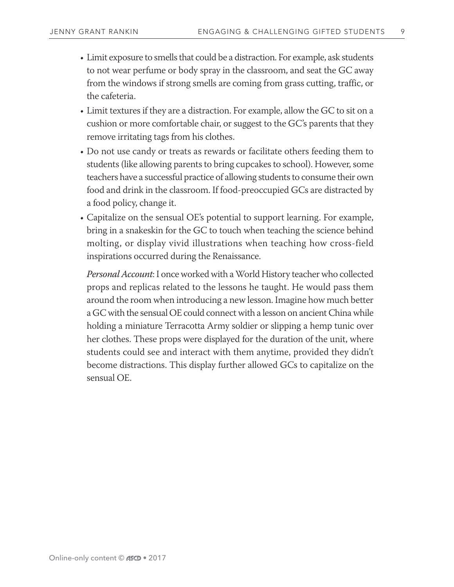- Limit exposure to smells that could be a distraction. For example, ask students to not wear perfume or body spray in the classroom, and seat the GC away from the windows if strong smells are coming from grass cutting, traffic, or the cafeteria.
- Limit textures if they are a distraction. For example, allow the GC to sit on a cushion or more comfortable chair, or suggest to the GC's parents that they remove irritating tags from his clothes.
- Do not use candy or treats as rewards or facilitate others feeding them to students (like allowing parents to bring cupcakes to school). However, some teachers have a successful practice of allowing students to consume their own food and drink in the classroom. If food-preoccupied GCs are distracted by a food policy, change it.
- Capitalize on the sensual OE's potential to support learning. For example, bring in a snakeskin for the GC to touch when teaching the science behind molting, or display vivid illustrations when teaching how cross-field inspirations occurred during the Renaissance.

*Personal Account*: I once worked with a World History teacher who collected props and replicas related to the lessons he taught. He would pass them around the room when introducing a new lesson. Imagine how much better a GC with the sensual OE could connect with a lesson on ancient China while holding a miniature Terracotta Army soldier or slipping a hemp tunic over her clothes. These props were displayed for the duration of the unit, where students could see and interact with them anytime, provided they didn't become distractions. This display further allowed GCs to capitalize on the sensual OE.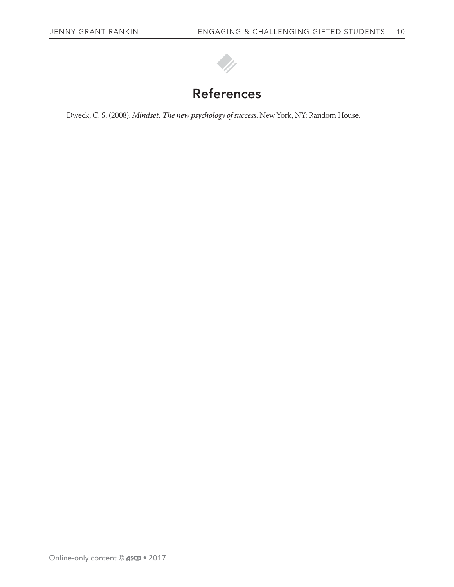

Dweck, C. S. (2008). *Mindset: The new psychology of success*. New York, NY: Random House.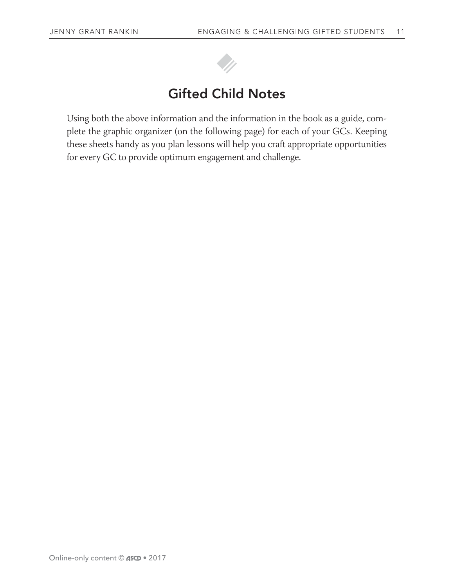

# Gifted Child Notes

Using both the above information and the information in the book as a guide, complete the graphic organizer (on the following page) for each of your GCs. Keeping these sheets handy as you plan lessons will help you craft appropriate opportunities for every GC to provide optimum engagement and challenge.